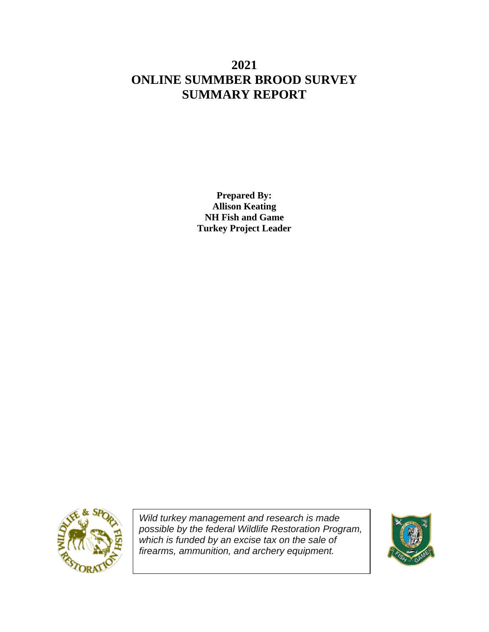# **2021 ONLINE SUMMBER BROOD SURVEY SUMMARY REPORT**

**Prepared By: Allison Keating NH Fish and Game Turkey Project Leader**



*Wild turkey management and research is made possible by the federal Wildlife Restoration Program, which is funded by an excise tax on the sale of firearms, ammunition, and archery equipment.*

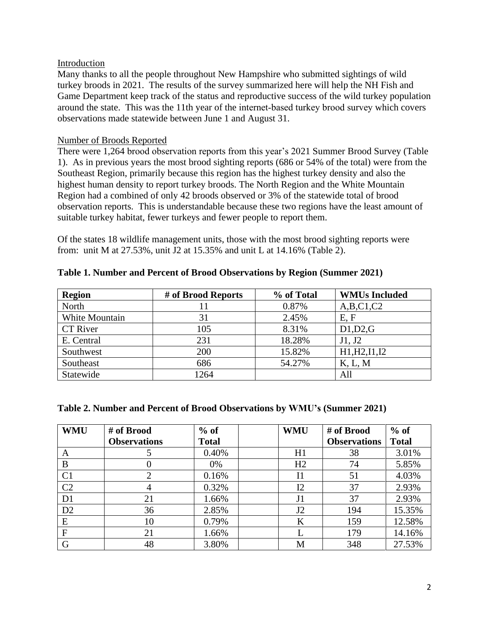## Introduction

Many thanks to all the people throughout New Hampshire who submitted sightings of wild turkey broods in 2021. The results of the survey summarized here will help the NH Fish and Game Department keep track of the status and reproductive success of the wild turkey population around the state. This was the 11th year of the internet-based turkey brood survey which covers observations made statewide between June 1 and August 31.

## Number of Broods Reported

There were 1,264 brood observation reports from this year's 2021 Summer Brood Survey (Table 1). As in previous years the most brood sighting reports (686 or 54% of the total) were from the Southeast Region, primarily because this region has the highest turkey density and also the highest human density to report turkey broods. The North Region and the White Mountain Region had a combined of only 42 broods observed or 3% of the statewide total of brood observation reports. This is understandable because these two regions have the least amount of suitable turkey habitat, fewer turkeys and fewer people to report them.

Of the states 18 wildlife management units, those with the most brood sighting reports were from: unit M at 27.53%, unit J2 at 15.35% and unit L at 14.16% (Table 2).

| <b>Region</b>   | # of Brood Reports | % of Total | <b>WMUs Included</b> |
|-----------------|--------------------|------------|----------------------|
| North           |                    | 0.87%      | A,B,C1,C2            |
| White Mountain  | 31                 | 2.45%      | E, F                 |
| <b>CT</b> River | 105                | 8.31%      | D1,D2,G              |
| E. Central      | 231                | 18.28%     | J1, J2               |
| Southwest       | 200                | 15.82%     | H1, H2, I1, I2       |
| Southeast       | 686                | 54.27%     | K, L, M              |
| Statewide       | 1264               |            | All                  |

**Table 1. Number and Percent of Brood Observations by Region (Summer 2021)**

# **Table 2. Number and Percent of Brood Observations by WMU's (Summer 2021)**

| <b>WMU</b>     | # of Brood          | $%$ of       | <b>WMU</b>     | # of Brood          | $%$ of       |
|----------------|---------------------|--------------|----------------|---------------------|--------------|
|                | <b>Observations</b> | <b>Total</b> |                | <b>Observations</b> | <b>Total</b> |
| A              |                     | 0.40%        | H1             | 38                  | 3.01%        |
| B              |                     | 0%           | H2             | 74                  | 5.85%        |
| C <sub>1</sub> | 2                   | 0.16%        | I <sub>1</sub> | 51                  | 4.03%        |
| C <sub>2</sub> | 4                   | 0.32%        | I2             | 37                  | 2.93%        |
| D <sub>1</sub> | 21                  | 1.66%        | J <sub>1</sub> | 37                  | 2.93%        |
| D2             | 36                  | 2.85%        | J2             | 194                 | 15.35%       |
| E              | 10                  | 0.79%        | K              | 159                 | 12.58%       |
| $\overline{F}$ | 21                  | 1.66%        |                | 179                 | 14.16%       |
| G              | 48                  | 3.80%        | M              | 348                 | 27.53%       |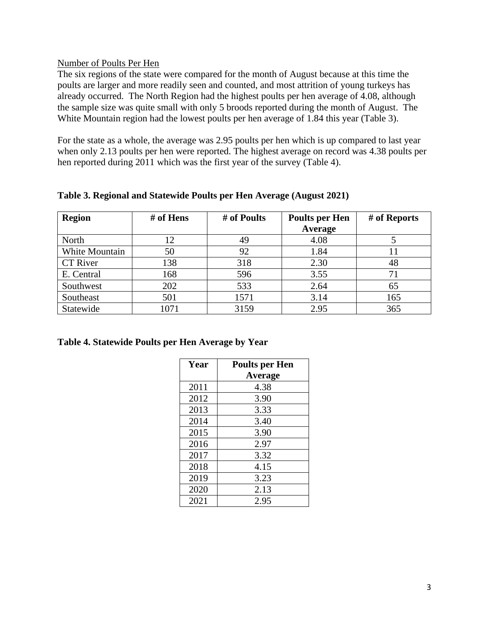#### Number of Poults Per Hen

The six regions of the state were compared for the month of August because at this time the poults are larger and more readily seen and counted, and most attrition of young turkeys has already occurred. The North Region had the highest poults per hen average of 4.08, although the sample size was quite small with only 5 broods reported during the month of August. The White Mountain region had the lowest poults per hen average of 1.84 this year (Table 3).

For the state as a whole, the average was 2.95 poults per hen which is up compared to last year when only 2.13 poults per hen were reported. The highest average on record was 4.38 poults per hen reported during 2011 which was the first year of the survey (Table 4).

| <b>Region</b>   | # of Hens | # of Poults | <b>Poults per Hen</b><br>Average | # of Reports |
|-----------------|-----------|-------------|----------------------------------|--------------|
| North           | 12        | 49          | 4.08                             |              |
| White Mountain  | 50        | 92          | 1.84                             |              |
| <b>CT</b> River | 138       | 318         | 2.30                             | 48           |
| E. Central      | 168       | 596         | 3.55                             | 71           |
| Southwest       | 202       | 533         | 2.64                             | 65           |
| Southeast       | 501       | 1571        | 3.14                             | 165          |
| Statewide       | 1071      | 3159        | 2.95                             | 365          |

**Table 3. Regional and Statewide Poults per Hen Average (August 2021)**

#### **Table 4. Statewide Poults per Hen Average by Year**

| Year | <b>Poults per Hen</b> |
|------|-----------------------|
|      | Average               |
| 2011 | 4.38                  |
| 2012 | 3.90                  |
| 2013 | 3.33                  |
| 2014 | 3.40                  |
| 2015 | 3.90                  |
| 2016 | 2.97                  |
| 2017 | 3.32                  |
| 2018 | 4.15                  |
| 2019 | 3.23                  |
| 2020 | 2.13                  |
| 2021 | 2.95                  |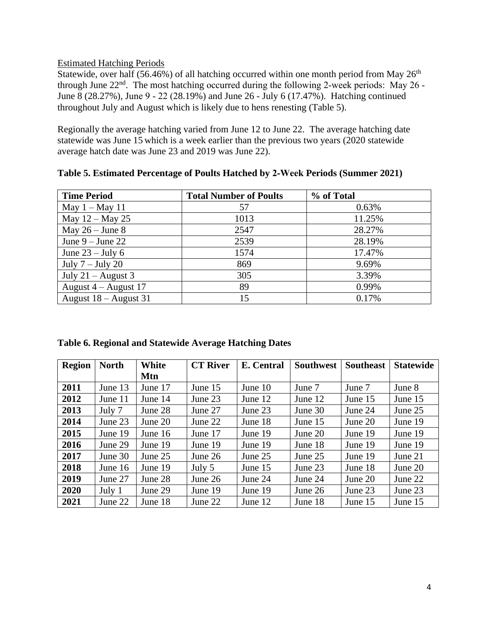# Estimated Hatching Periods

Statewide, over half (56.46%) of all hatching occurred within one month period from May  $26<sup>th</sup>$ through June  $22<sup>nd</sup>$ . The most hatching occurred during the following 2-week periods: May 26 -June 8 (28.27%), June 9 ‐ 22 (28.19%) and June 26 - July 6 (17.47%). Hatching continued throughout July and August which is likely due to hens renesting (Table 5).

Regionally the average hatching varied from June 12 to June 22. The average hatching date statewide was June 15 which is a week earlier than the previous two years (2020 statewide average hatch date was June 23 and 2019 was June 22).

| <b>Time Period</b>      | <b>Total Number of Poults</b> | % of Total |
|-------------------------|-------------------------------|------------|
| May $1 -$ May 11        | 57                            | 0.63%      |
| May $12 -$ May 25       | 1013                          | 11.25%     |
| May $26 -$ June 8       | 2547                          | 28.27%     |
| June $9 -$ June 22      | 2539                          | 28.19%     |
| June $23 -$ July 6      | 1574                          | 17.47%     |
| July $7 -$ July 20      | 869                           | 9.69%      |
| July 21 – August 3      | 305                           | 3.39%      |
| August $4 -$ August 17  | 89                            | 0.99%      |
| August $18 -$ August 31 | 15                            | 0.17%      |

**Table 5. Estimated Percentage of Poults Hatched by 2‐Week Periods (Summer 2021)**

| Table 6. Regional and Statewide Average Hatching Dates |  |  |
|--------------------------------------------------------|--|--|
|                                                        |  |  |

| <b>Region</b> | <b>North</b> | White     | <b>CT River</b> | E. Central | <b>Southwest</b> | <b>Southeast</b> | <b>Statewide</b> |
|---------------|--------------|-----------|-----------------|------------|------------------|------------------|------------------|
|               |              | Mtn       |                 |            |                  |                  |                  |
| 2011          | June 13      | June 17   | June 15         | June $10$  | June 7           | June 7           | June 8           |
| 2012          | June 11      | June 14   | June 23         | June 12    | June 12          | June 15          | June 15          |
| 2013          | July 7       | June 28   | June 27         | June 23    | June $30$        | June 24          | June 25          |
| 2014          | June 23      | June $20$ | June 22         | June 18    | June $15$        | June $20$        | June 19          |
| 2015          | June 19      | June $16$ | June 17         | June 19    | June 20          | June 19          | June 19          |
| 2016          | June 29      | June 19   | June 19         | June 19    | June 18          | June 19          | June 19          |
| 2017          | June $30$    | June 25   | June $26$       | June $25$  | June $25$        | June 19          | June 21          |
| 2018          | June 16      | June 19   | July 5          | June 15    | June 23          | June 18          | June 20          |
| 2019          | June 27      | June 28   | June $26$       | June 24    | June 24          | June 20          | June 22          |
| 2020          | July $1$     | June 29   | June 19         | June 19    | June 26          | June 23          | June 23          |
| 2021          | June 22      | June 18   | June 22         | June 12    | June 18          | June 15          | June 15          |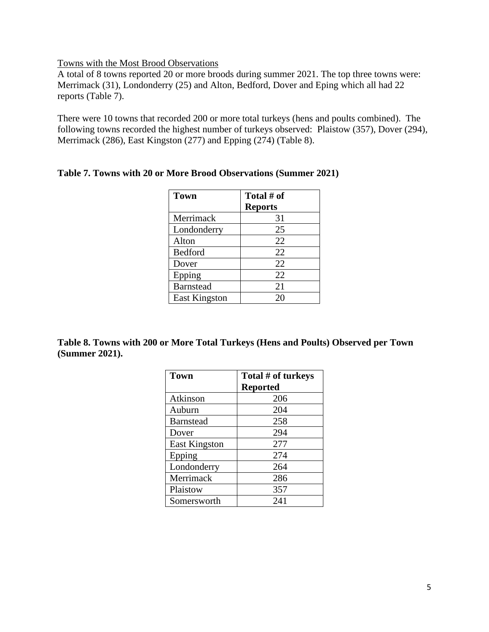Towns with the Most Brood Observations

A total of 8 towns reported 20 or more broods during summer 2021. The top three towns were: Merrimack (31), Londonderry (25) and Alton, Bedford, Dover and Eping which all had 22 reports (Table 7).

There were 10 towns that recorded 200 or more total turkeys (hens and poults combined). The following towns recorded the highest number of turkeys observed: Plaistow (357), Dover (294), Merrimack (286), East Kingston (277) and Epping (274) (Table 8).

| <b>Town</b>          | Total # of     |
|----------------------|----------------|
|                      | <b>Reports</b> |
| Merrimack            | 31             |
| Londonderry          | 25             |
| Alton                | 22             |
| Bedford              | 22             |
| Dover                | 22             |
| Epping               | 22             |
| <b>Barnstead</b>     | 21             |
| <b>East Kingston</b> | 20             |

#### **Table 7. Towns with 20 or More Brood Observations (Summer 2021)**

**Table 8. Towns with 200 or More Total Turkeys (Hens and Poults) Observed per Town (Summer 2021).**

| <b>Town</b>          | Total # of turkeys |
|----------------------|--------------------|
|                      | <b>Reported</b>    |
| Atkinson             | 206                |
| Auburn               | 204                |
| <b>Barnstead</b>     | 258                |
| Dover                | 294                |
| <b>East Kingston</b> | 277                |
| Epping               | 274                |
| Londonderry          | 264                |
| Merrimack            | 286                |
| Plaistow             | 357                |
| Somersworth          | 241                |